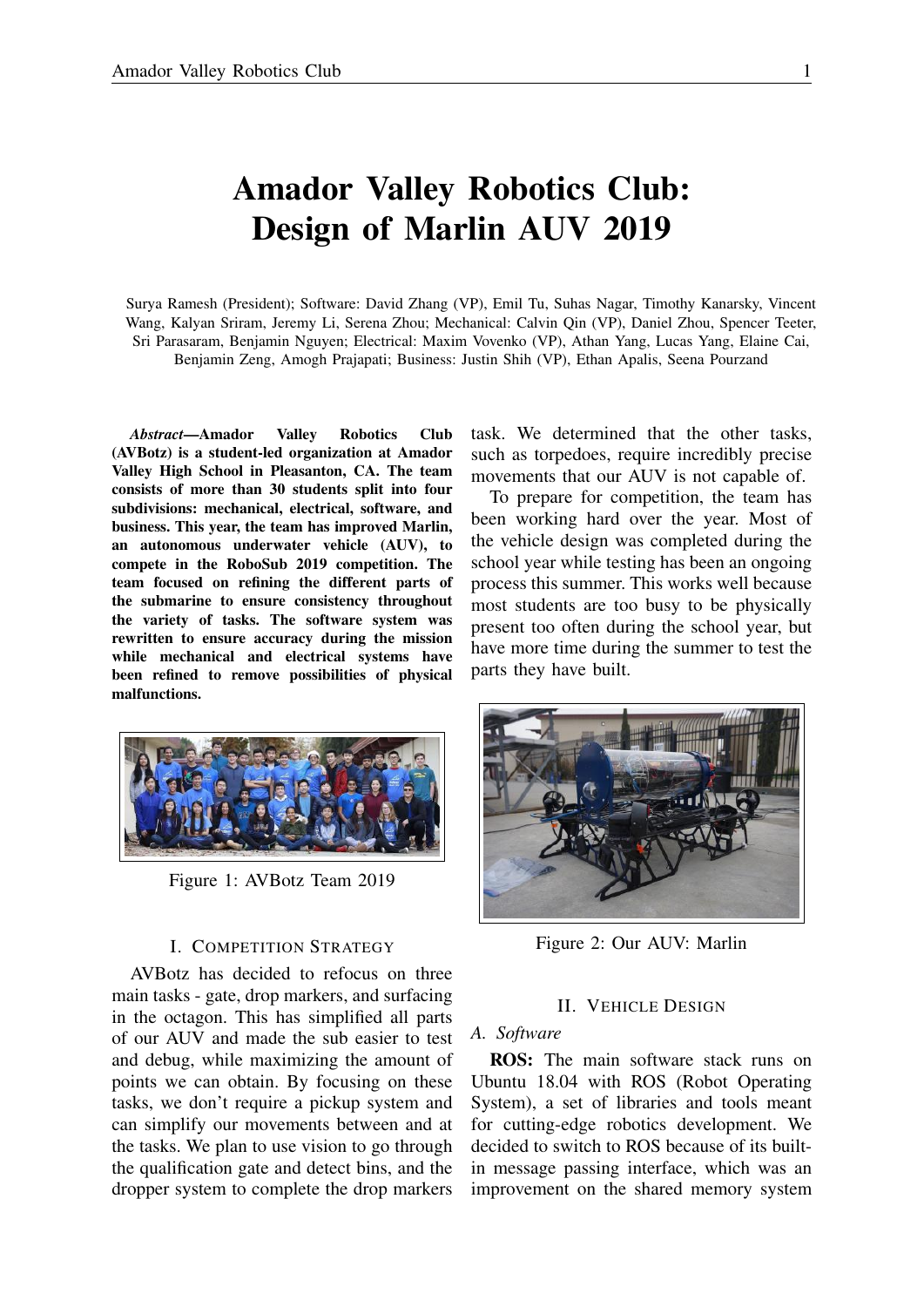# Amador Valley Robotics Club: Design of Marlin AUV 2019

Surya Ramesh (President); Software: David Zhang (VP), Emil Tu, Suhas Nagar, Timothy Kanarsky, Vincent Wang, Kalyan Sriram, Jeremy Li, Serena Zhou; Mechanical: Calvin Qin (VP), Daniel Zhou, Spencer Teeter, Sri Parasaram, Benjamin Nguyen; Electrical: Maxim Vovenko (VP), Athan Yang, Lucas Yang, Elaine Cai, Benjamin Zeng, Amogh Prajapati; Business: Justin Shih (VP), Ethan Apalis, Seena Pourzand

*Abstract*—Amador Valley Robotics Club (AVBotz) is a student-led organization at Amador Valley High School in Pleasanton, CA. The team consists of more than 30 students split into four subdivisions: mechanical, electrical, software, and business. This year, the team has improved Marlin, an autonomous underwater vehicle (AUV), to compete in the RoboSub 2019 competition. The team focused on refining the different parts of the submarine to ensure consistency throughout the variety of tasks. The software system was rewritten to ensure accuracy during the mission while mechanical and electrical systems have been refined to remove possibilities of physical malfunctions.



Figure 1: AVBotz Team 2019

### I. COMPETITION STRATEGY

AVBotz has decided to refocus on three main tasks - gate, drop markers, and surfacing in the octagon. This has simplified all parts of our AUV and made the sub easier to test and debug, while maximizing the amount of points we can obtain. By focusing on these tasks, we don't require a pickup system and can simplify our movements between and at the tasks. We plan to use vision to go through the qualification gate and detect bins, and the dropper system to complete the drop markers

task. We determined that the other tasks, such as torpedoes, require incredibly precise movements that our AUV is not capable of.

To prepare for competition, the team has been working hard over the year. Most of the vehicle design was completed during the school year while testing has been an ongoing process this summer. This works well because most students are too busy to be physically present too often during the school year, but have more time during the summer to test the parts they have built.



Figure 2: Our AUV: Marlin

#### II. VEHICLE DESIGN

#### *A. Software*

ROS: The main software stack runs on Ubuntu 18.04 with ROS (Robot Operating System), a set of libraries and tools meant for cutting-edge robotics development. We decided to switch to ROS because of its builtin message passing interface, which was an improvement on the shared memory system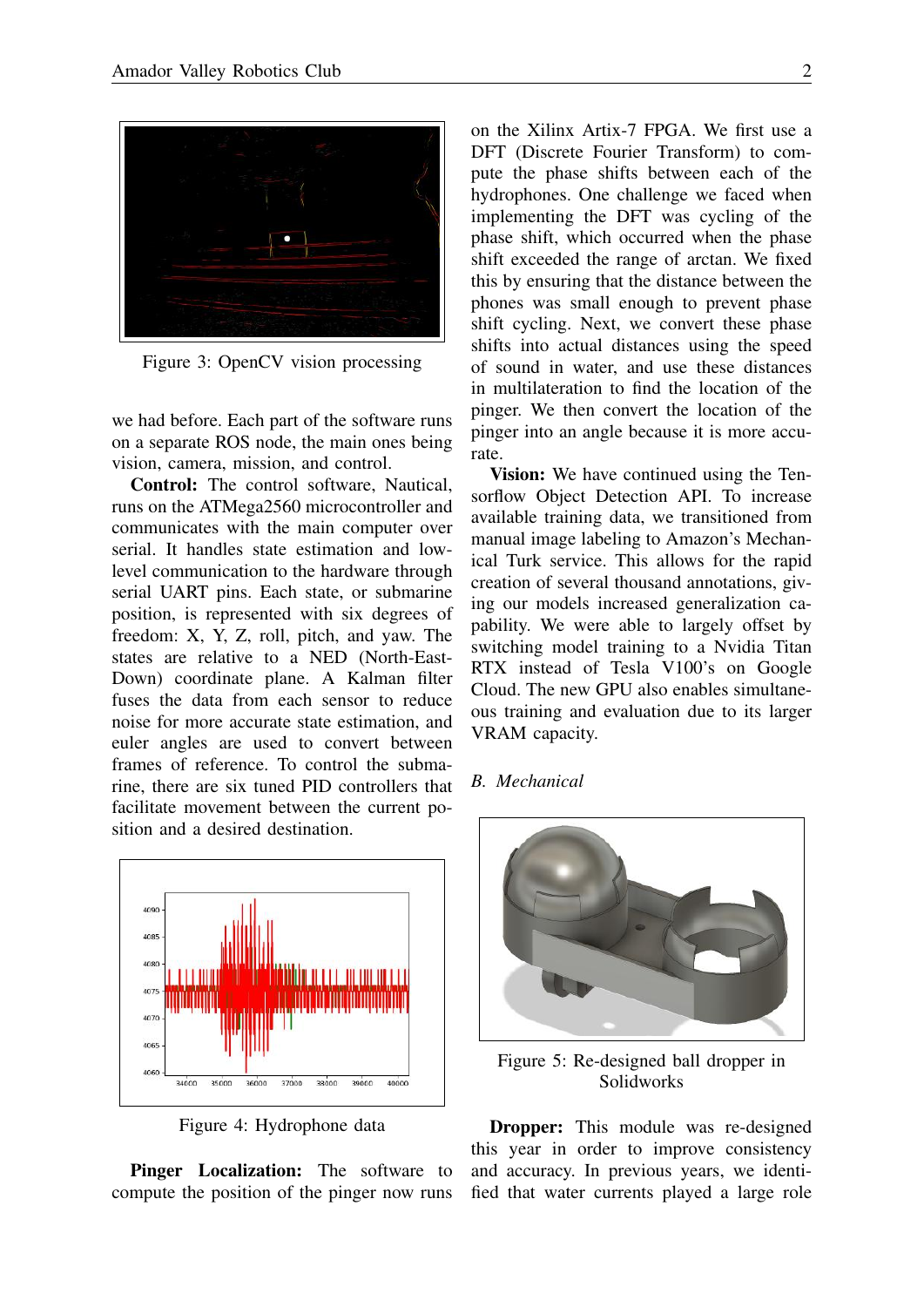

Figure 3: OpenCV vision processing

we had before. Each part of the software runs on a separate ROS node, the main ones being vision, camera, mission, and control.

Control: The control software, Nautical, runs on the ATMega2560 microcontroller and communicates with the main computer over serial. It handles state estimation and lowlevel communication to the hardware through serial UART pins. Each state, or submarine position, is represented with six degrees of freedom: X, Y, Z, roll, pitch, and yaw. The states are relative to a NED (North-East-Down) coordinate plane. A Kalman filter fuses the data from each sensor to reduce noise for more accurate state estimation, and euler angles are used to convert between frames of reference. To control the submarine, there are six tuned PID controllers that facilitate movement between the current position and a desired destination.



Figure 4: Hydrophone data

Pinger Localization: The software to compute the position of the pinger now runs

on the Xilinx Artix-7 FPGA. We first use a DFT (Discrete Fourier Transform) to compute the phase shifts between each of the hydrophones. One challenge we faced when implementing the DFT was cycling of the phase shift, which occurred when the phase shift exceeded the range of arctan. We fixed this by ensuring that the distance between the phones was small enough to prevent phase shift cycling. Next, we convert these phase shifts into actual distances using the speed of sound in water, and use these distances in multilateration to find the location of the pinger. We then convert the location of the pinger into an angle because it is more accurate.

Vision: We have continued using the Tensorflow Object Detection API. To increase available training data, we transitioned from manual image labeling to Amazon's Mechanical Turk service. This allows for the rapid creation of several thousand annotations, giving our models increased generalization capability. We were able to largely offset by switching model training to a Nvidia Titan RTX instead of Tesla V100's on Google Cloud. The new GPU also enables simultaneous training and evaluation due to its larger VRAM capacity.

### *B. Mechanical*



Figure 5: Re-designed ball dropper in Solidworks

Dropper: This module was re-designed this year in order to improve consistency and accuracy. In previous years, we identified that water currents played a large role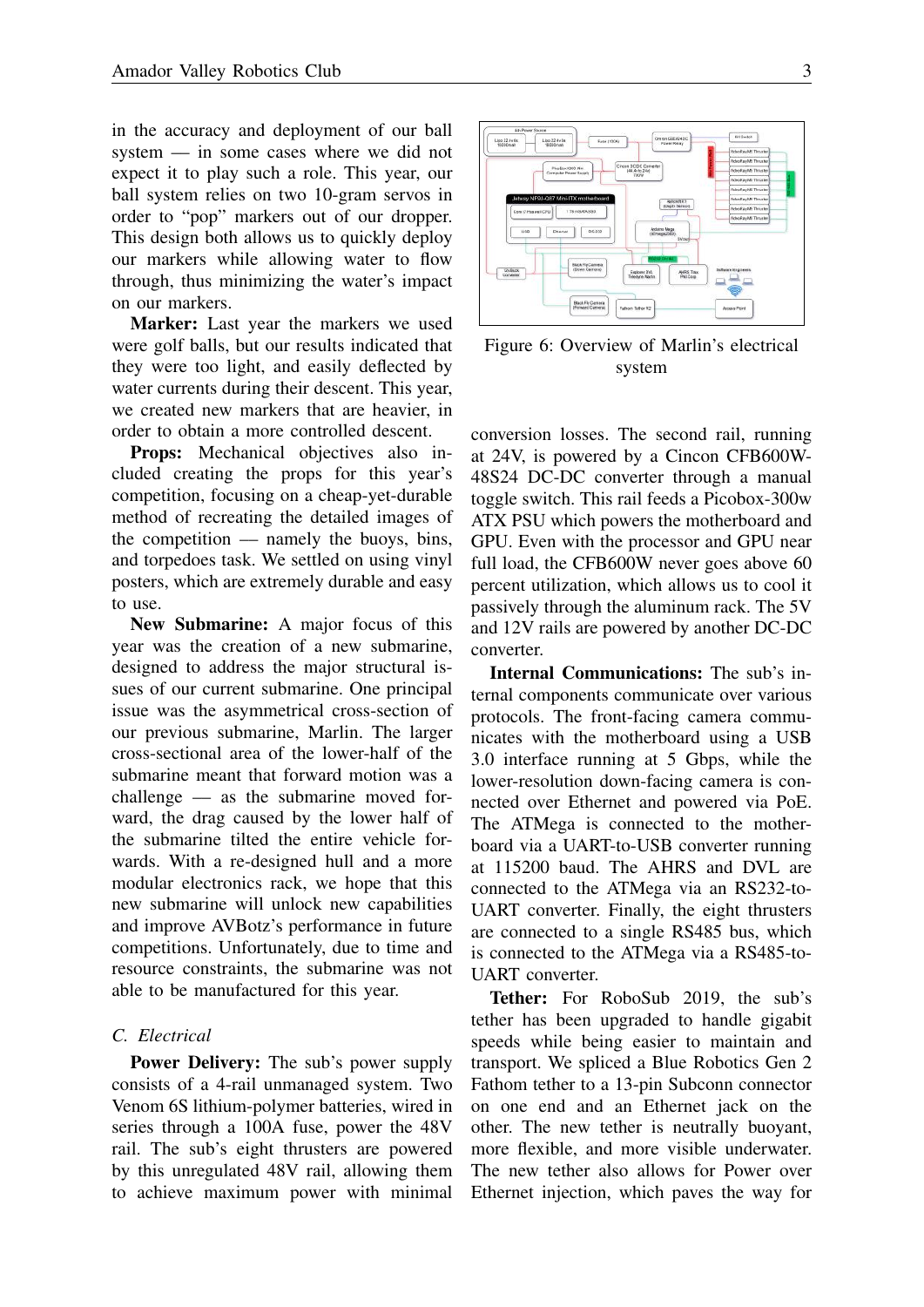in the accuracy and deployment of our ball system –– in some cases where we did not expect it to play such a role. This year, our ball system relies on two 10-gram servos in order to "pop" markers out of our dropper. This design both allows us to quickly deploy our markers while allowing water to flow through, thus minimizing the water's impact on our markers.

Marker: Last year the markers we used were golf balls, but our results indicated that they were too light, and easily deflected by water currents during their descent. This year, we created new markers that are heavier, in order to obtain a more controlled descent.

Props: Mechanical objectives also included creating the props for this year's competition, focusing on a cheap-yet-durable method of recreating the detailed images of the competition — namely the buoys, bins, and torpedoes task. We settled on using vinyl posters, which are extremely durable and easy to use.

New Submarine: A major focus of this year was the creation of a new submarine, designed to address the major structural issues of our current submarine. One principal issue was the asymmetrical cross-section of our previous submarine, Marlin. The larger cross-sectional area of the lower-half of the submarine meant that forward motion was a challenge –– as the submarine moved forward, the drag caused by the lower half of the submarine tilted the entire vehicle forwards. With a re-designed hull and a more modular electronics rack, we hope that this new submarine will unlock new capabilities and improve AVBotz's performance in future competitions. Unfortunately, due to time and resource constraints, the submarine was not able to be manufactured for this year.

### *C. Electrical*

Power Delivery: The sub's power supply consists of a 4-rail unmanaged system. Two Venom 6S lithium-polymer batteries, wired in series through a 100A fuse, power the 48V rail. The sub's eight thrusters are powered by this unregulated 48V rail, allowing them to achieve maximum power with minimal



Figure 6: Overview of Marlin's electrical system

conversion losses. The second rail, running at 24V, is powered by a Cincon CFB600W-48S24 DC-DC converter through a manual toggle switch. This rail feeds a Picobox-300w ATX PSU which powers the motherboard and GPU. Even with the processor and GPU near full load, the CFB600W never goes above 60 percent utilization, which allows us to cool it passively through the aluminum rack. The 5V and 12V rails are powered by another DC-DC converter.

Internal Communications: The sub's internal components communicate over various protocols. The front-facing camera communicates with the motherboard using a USB 3.0 interface running at 5 Gbps, while the lower-resolution down-facing camera is connected over Ethernet and powered via PoE. The ATMega is connected to the motherboard via a UART-to-USB converter running at 115200 baud. The AHRS and DVL are connected to the ATMega via an RS232-to-UART converter. Finally, the eight thrusters are connected to a single RS485 bus, which is connected to the ATMega via a RS485-to-UART converter.

Tether: For RoboSub 2019, the sub's tether has been upgraded to handle gigabit speeds while being easier to maintain and transport. We spliced a Blue Robotics Gen 2 Fathom tether to a 13-pin Subconn connector on one end and an Ethernet jack on the other. The new tether is neutrally buoyant, more flexible, and more visible underwater. The new tether also allows for Power over Ethernet injection, which paves the way for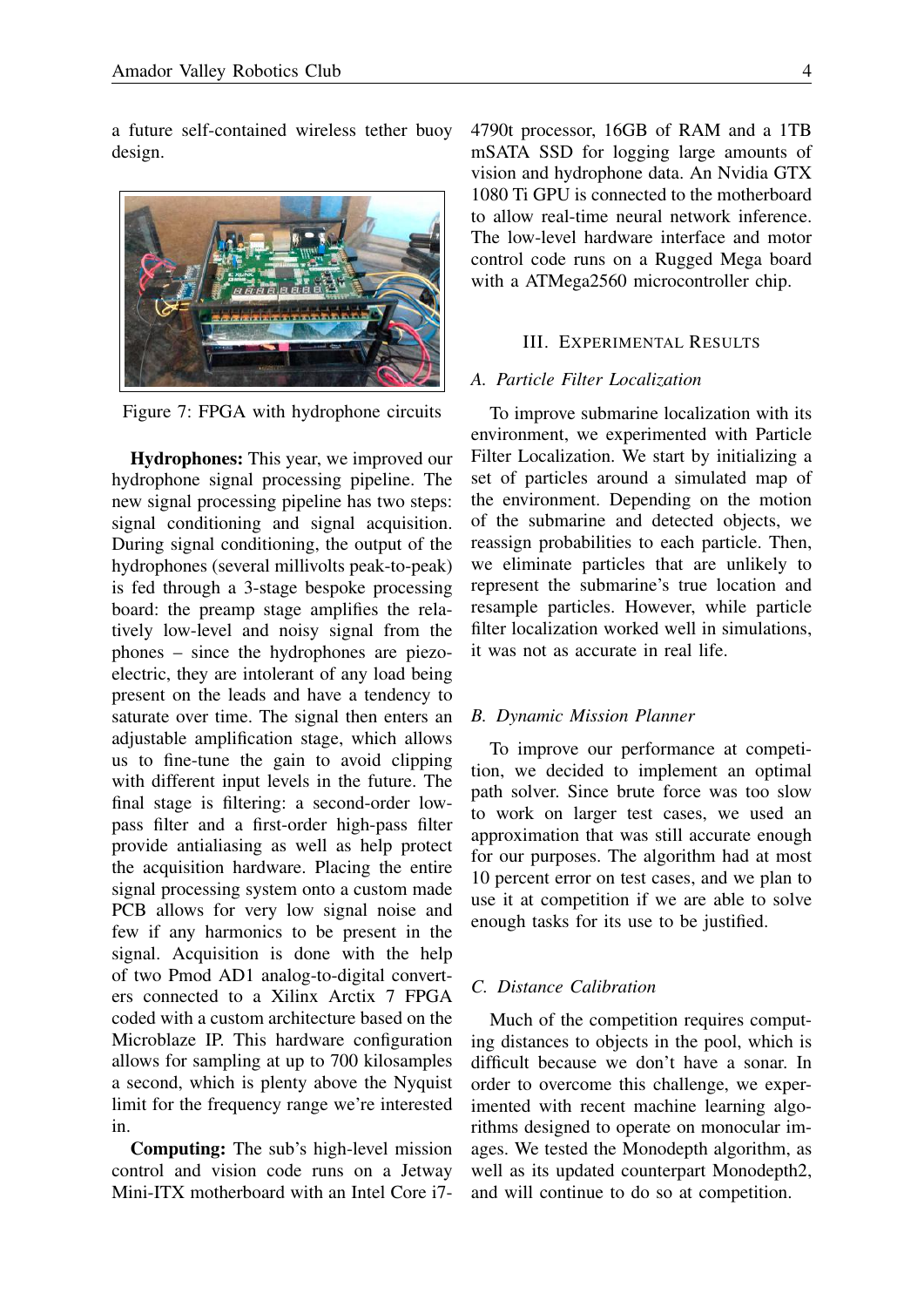a future self-contained wireless tether buoy design.



Figure 7: FPGA with hydrophone circuits

Hydrophones: This year, we improved our hydrophone signal processing pipeline. The new signal processing pipeline has two steps: signal conditioning and signal acquisition. During signal conditioning, the output of the hydrophones (several millivolts peak-to-peak) is fed through a 3-stage bespoke processing board: the preamp stage amplifies the relatively low-level and noisy signal from the phones – since the hydrophones are piezoelectric, they are intolerant of any load being present on the leads and have a tendency to saturate over time. The signal then enters an adjustable amplification stage, which allows us to fine-tune the gain to avoid clipping with different input levels in the future. The final stage is filtering: a second-order lowpass filter and a first-order high-pass filter provide antialiasing as well as help protect the acquisition hardware. Placing the entire signal processing system onto a custom made PCB allows for very low signal noise and few if any harmonics to be present in the signal. Acquisition is done with the help of two Pmod AD1 analog-to-digital converters connected to a Xilinx Arctix 7 FPGA coded with a custom architecture based on the Microblaze IP. This hardware configuration allows for sampling at up to 700 kilosamples a second, which is plenty above the Nyquist limit for the frequency range we're interested in.

Computing: The sub's high-level mission control and vision code runs on a Jetway Mini-ITX motherboard with an Intel Core i74790t processor, 16GB of RAM and a 1TB mSATA SSD for logging large amounts of vision and hydrophone data. An Nvidia GTX 1080 Ti GPU is connected to the motherboard to allow real-time neural network inference. The low-level hardware interface and motor control code runs on a Rugged Mega board with a ATMega2560 microcontroller chip.

#### III. EXPERIMENTAL RESULTS

### *A. Particle Filter Localization*

To improve submarine localization with its environment, we experimented with Particle Filter Localization. We start by initializing a set of particles around a simulated map of the environment. Depending on the motion of the submarine and detected objects, we reassign probabilities to each particle. Then, we eliminate particles that are unlikely to represent the submarine's true location and resample particles. However, while particle filter localization worked well in simulations, it was not as accurate in real life.

#### *B. Dynamic Mission Planner*

To improve our performance at competition, we decided to implement an optimal path solver. Since brute force was too slow to work on larger test cases, we used an approximation that was still accurate enough for our purposes. The algorithm had at most 10 percent error on test cases, and we plan to use it at competition if we are able to solve enough tasks for its use to be justified.

### *C. Distance Calibration*

Much of the competition requires computing distances to objects in the pool, which is difficult because we don't have a sonar. In order to overcome this challenge, we experimented with recent machine learning algorithms designed to operate on monocular images. We tested the Monodepth algorithm, as well as its updated counterpart Monodepth2, and will continue to do so at competition.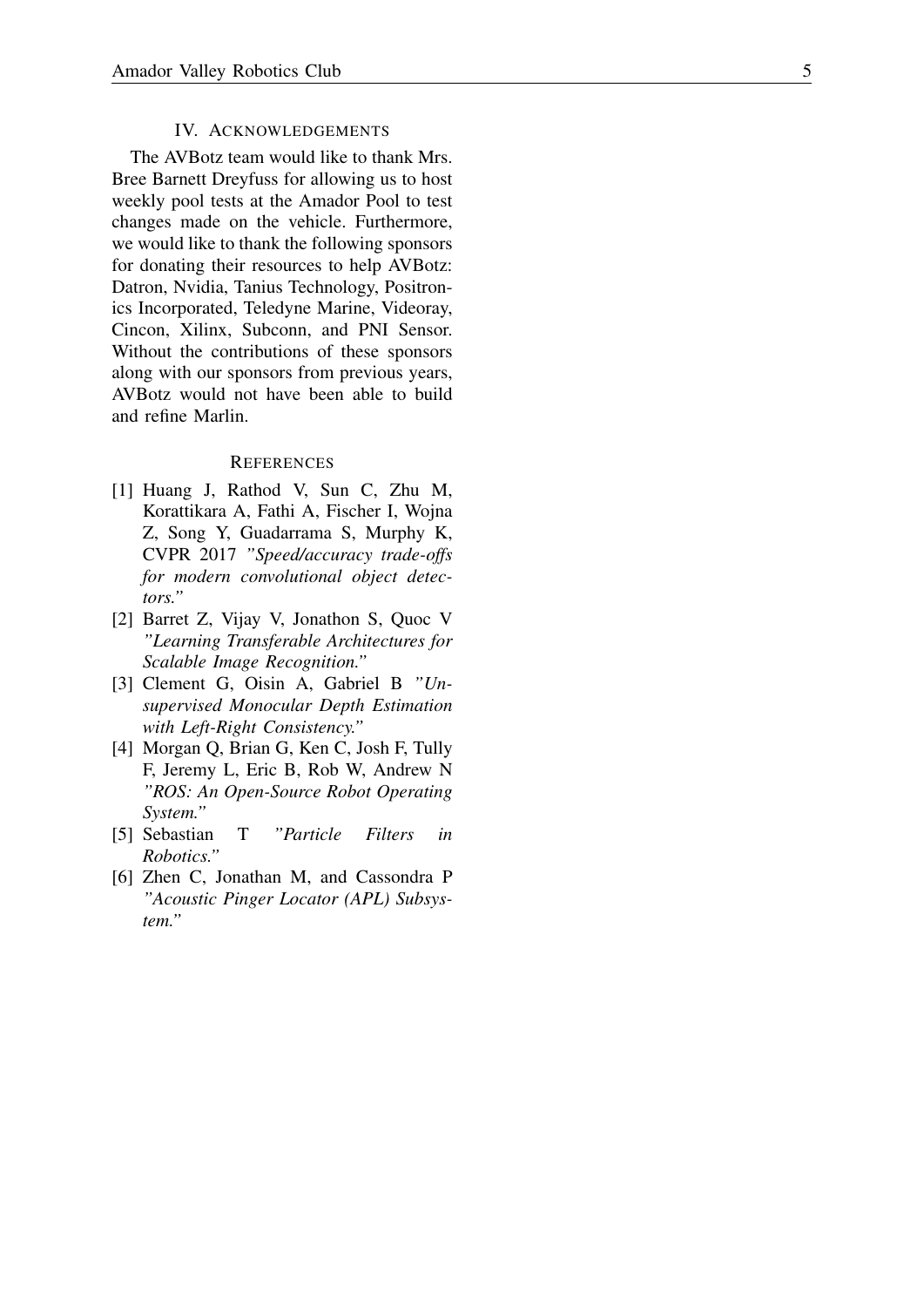#### IV. ACKNOWLEDGEMENTS

The AVBotz team would like to thank Mrs. Bree Barnett Dreyfuss for allowing us to host weekly pool tests at the Amador Pool to test changes made on the vehicle. Furthermore, we would like to thank the following sponsors for donating their resources to help AVBotz: Datron, Nvidia, Tanius Technology, Positronics Incorporated, Teledyne Marine, Videoray, Cincon, Xilinx, Subconn, and PNI Sensor. Without the contributions of these sponsors along with our sponsors from previous years, AVBotz would not have been able to build and refine Marlin.

#### **REFERENCES**

- [1] Huang J, Rathod V, Sun C, Zhu M, Korattikara A, Fathi A, Fischer I, Wojna Z, Song Y, Guadarrama S, Murphy K, CVPR 2017 *"Speed/accuracy trade-offs for modern convolutional object detectors."*
- [2] Barret Z, Vijay V, Jonathon S, Quoc V *"Learning Transferable Architectures for Scalable Image Recognition."*
- [3] Clement G, Oisin A, Gabriel B *"Unsupervised Monocular Depth Estimation with Left-Right Consistency."*
- [4] Morgan Q, Brian G, Ken C, Josh F, Tully F, Jeremy L, Eric B, Rob W, Andrew N *"ROS: An Open-Source Robot Operating System."*
- [5] Sebastian T *"Particle Filters in Robotics."*
- [6] Zhen C, Jonathan M, and Cassondra P *"Acoustic Pinger Locator (APL) Subsystem."*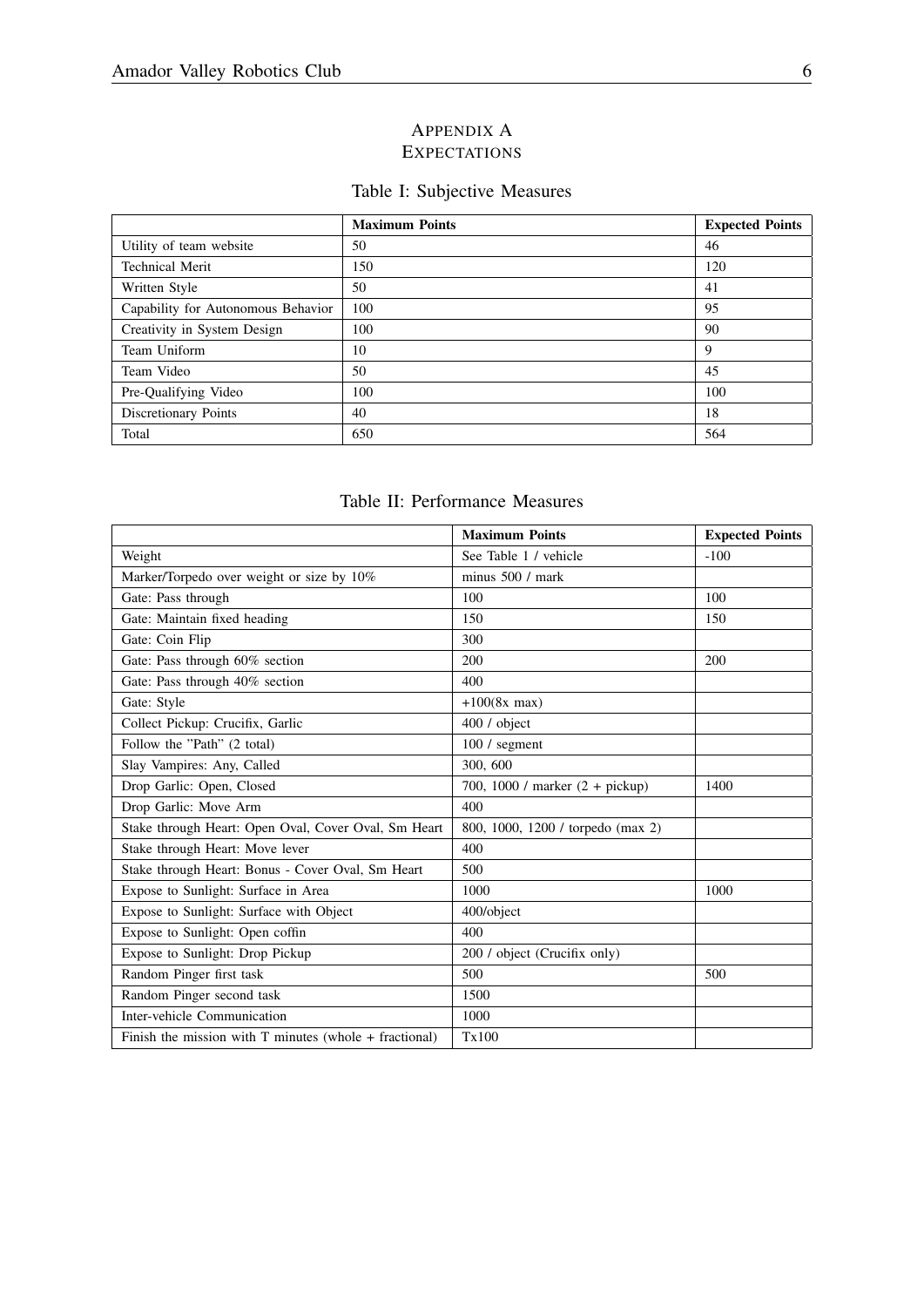### APPENDIX A **EXPECTATIONS**

## Table I: Subjective Measures

|                                    | <b>Maximum Points</b> | <b>Expected Points</b> |
|------------------------------------|-----------------------|------------------------|
| Utility of team website            | 50                    | 46                     |
| Technical Merit                    | 150                   | 120                    |
| Written Style                      | 50                    | 41                     |
| Capability for Autonomous Behavior | 100                   | 95                     |
| Creativity in System Design        | 100                   | 90                     |
| Team Uniform                       | 10                    | 9                      |
| Team Video                         | 50                    | 45                     |
| Pre-Qualifying Video               | 100                   | 100                    |
| Discretionary Points               | 40                    | 18                     |
| Total                              | 650                   | 564                    |

### Table II: Performance Measures

|                                                            | <b>Maximum Points</b>             | <b>Expected Points</b> |
|------------------------------------------------------------|-----------------------------------|------------------------|
| Weight                                                     | See Table 1 / vehicle             | $-100$                 |
| Marker/Torpedo over weight or size by 10%                  | minus $500/$ mark                 |                        |
| Gate: Pass through                                         | 100                               | 100                    |
| Gate: Maintain fixed heading                               | 150                               | 150                    |
| Gate: Coin Flip                                            | 300                               |                        |
| Gate: Pass through 60% section                             | 200                               | 200                    |
| Gate: Pass through 40% section                             | 400                               |                        |
| Gate: Style                                                | $+100(8x \text{ max})$            |                        |
| Collect Pickup: Crucifix, Garlic                           | 400 / object                      |                        |
| Follow the "Path" (2 total)                                | 100 / segment                     |                        |
| Slay Vampires: Any, Called                                 | 300, 600                          |                        |
| Drop Garlic: Open, Closed                                  | 700, 1000 / marker (2 + pickup)   | 1400                   |
| Drop Garlic: Move Arm                                      | 400                               |                        |
| Stake through Heart: Open Oval, Cover Oval, Sm Heart       | 800, 1000, 1200 / torpedo (max 2) |                        |
| Stake through Heart: Move lever                            | 400                               |                        |
| Stake through Heart: Bonus - Cover Oval, Sm Heart          | 500                               |                        |
| Expose to Sunlight: Surface in Area                        | 1000                              | 1000                   |
| Expose to Sunlight: Surface with Object                    | 400/object                        |                        |
| Expose to Sunlight: Open coffin                            | 400                               |                        |
| Expose to Sunlight: Drop Pickup                            | 200 / object (Crucifix only)      |                        |
| Random Pinger first task                                   | 500                               | 500                    |
| Random Pinger second task                                  | 1500                              |                        |
| Inter-vehicle Communication                                | 1000                              |                        |
| Finish the mission with $T$ minutes (whole $+$ fractional) | Tx100                             |                        |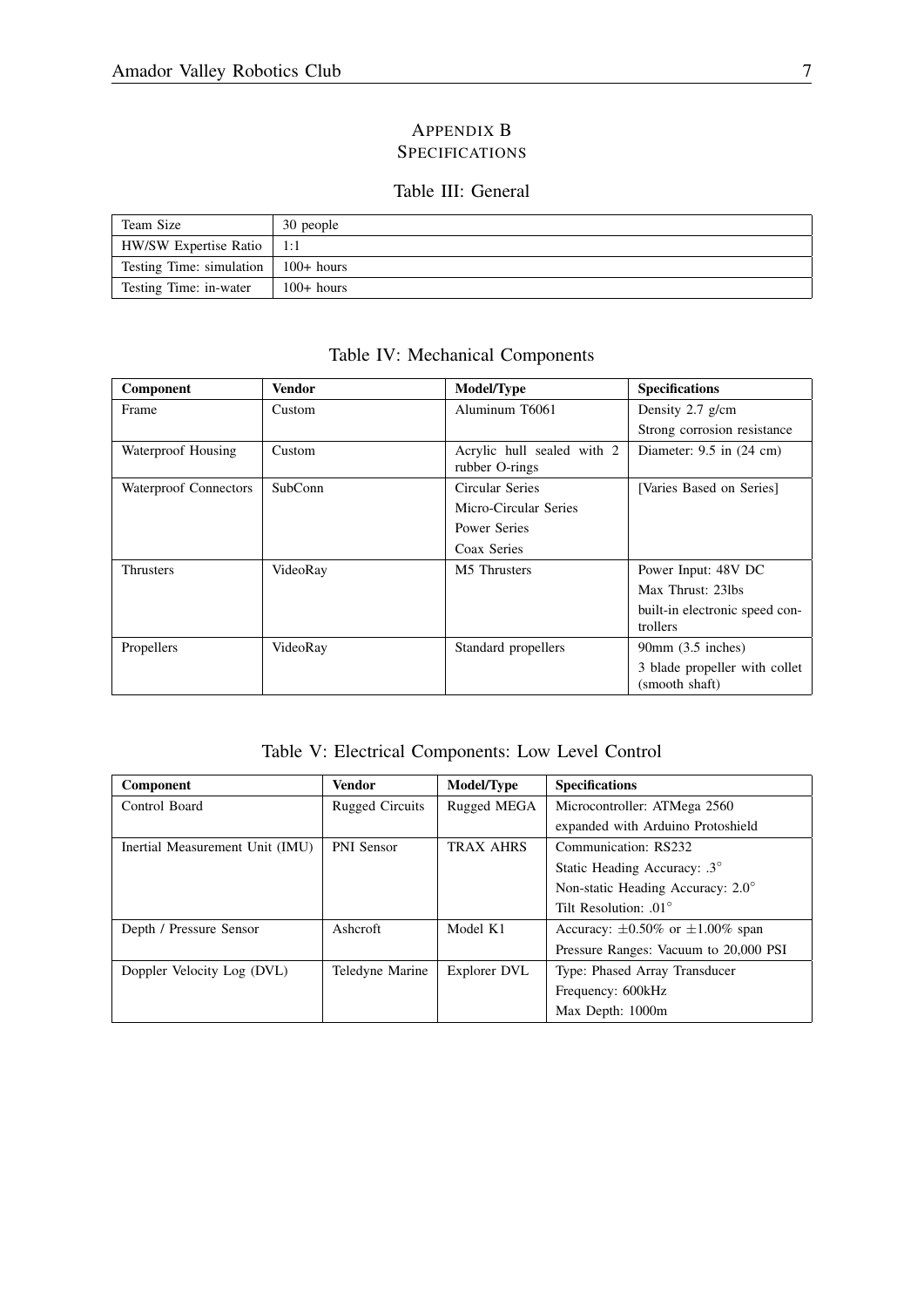### APPENDIX B **SPECIFICATIONS**

### Table III: General

| Team Size                    | 30 people    |
|------------------------------|--------------|
| <b>HW/SW Expertise Ratio</b> | 1:1          |
| Testing Time: simulation     | $100+$ hours |
| Testing Time: in-water       | $100+$ hours |

### Table IV: Mechanical Components

| Component             | <b>Vendor</b> | Model/Type                                   | <b>Specifications</b>                           |
|-----------------------|---------------|----------------------------------------------|-------------------------------------------------|
| Frame                 | Custom        | Aluminum T6061                               | Density 2.7 g/cm                                |
|                       |               |                                              | Strong corrosion resistance                     |
| Waterproof Housing    | Custom        | Acrylic hull sealed with 2<br>rubber O-rings | Diameter: 9.5 in (24 cm)                        |
| Waterproof Connectors | SubConn       | Circular Series                              | [Varies Based on Series]                        |
|                       |               | Micro-Circular Series                        |                                                 |
|                       |               | Power Series                                 |                                                 |
|                       |               | Coax Series                                  |                                                 |
| <b>Thrusters</b>      | VideoRay      | M5 Thrusters                                 | Power Input: 48V DC                             |
|                       |               |                                              | Max Thrust: 23lbs                               |
|                       |               |                                              | built-in electronic speed con-<br>trollers      |
| Propellers            | VideoRay      | Standard propellers                          | $90mm$ (3.5 inches)                             |
|                       |               |                                              | 3 blade propeller with collet<br>(smooth shaft) |

Table V: Electrical Components: Low Level Control

| Component                       | <b>Vendor</b>          | Model/Type       | <b>Specifications</b>                       |
|---------------------------------|------------------------|------------------|---------------------------------------------|
| Control Board                   | <b>Rugged Circuits</b> | Rugged MEGA      | Microcontroller: ATMega 2560                |
|                                 |                        |                  | expanded with Arduino Protoshield           |
| Inertial Measurement Unit (IMU) | <b>PNI</b> Sensor      | <b>TRAX AHRS</b> | Communication: RS232                        |
|                                 |                        |                  | Static Heading Accuracy: .3°                |
|                                 |                        |                  | Non-static Heading Accuracy: $2.0^{\circ}$  |
|                                 |                        |                  | Tilt Resolution: .01°                       |
| Depth / Pressure Sensor         | Ashcroft               | Model K1         | Accuracy: $\pm 0.50\%$ or $\pm 1.00\%$ span |
|                                 |                        |                  | Pressure Ranges: Vacuum to 20,000 PSI       |
| Doppler Velocity Log (DVL)      | Teledyne Marine        | Explorer DVL     | Type: Phased Array Transducer               |
|                                 |                        |                  | Frequency: 600kHz                           |
|                                 |                        |                  | Max Depth: 1000m                            |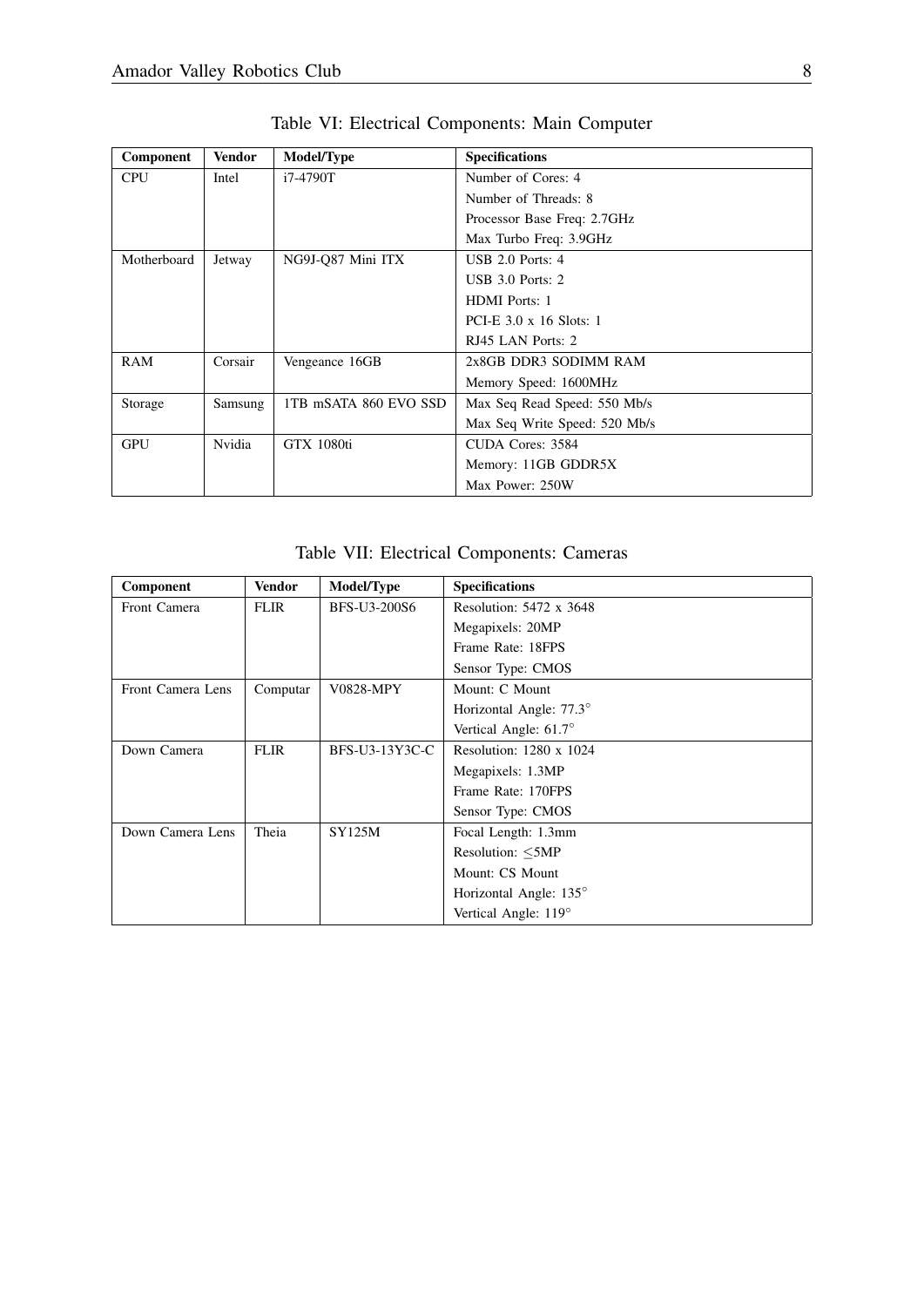| Component   | <b>Vendor</b> | Model/Type            | <b>Specifications</b>          |
|-------------|---------------|-----------------------|--------------------------------|
| <b>CPU</b>  | Intel         | i7-4790T              | Number of Cores: 4             |
|             |               |                       | Number of Threads: 8           |
|             |               |                       | Processor Base Freq: 2.7GHz    |
|             |               |                       | Max Turbo Freq: 3.9GHz         |
| Motherboard | Jetway        | NG9J-O87 Mini ITX     | USB $2.0$ Ports: $4$           |
|             |               |                       | USB $3.0$ Ports: $2$           |
|             |               |                       | HDMI Ports: 1                  |
|             |               |                       | PCI-E $3.0 \times 16$ Slots: 1 |
|             |               |                       | RJ45 LAN Ports: 2              |
| RAM         | Corsair       | Vengeance 16GB        | 2x8GB DDR3 SODIMM RAM          |
|             |               |                       | Memory Speed: 1600MHz          |
| Storage     | Samsung       | 1TB mSATA 860 EVO SSD | Max Seq Read Speed: 550 Mb/s   |
|             |               |                       | Max Seq Write Speed: 520 Mb/s  |
| <b>GPU</b>  | Nvidia        | <b>GTX 1080ti</b>     | CUDA Cores: 3584               |
|             |               |                       | Memory: 11GB GDDR5X            |
|             |               |                       | Max Power: 250W                |

|  |  |  | Table VI: Electrical Components: Main Computer |  |  |
|--|--|--|------------------------------------------------|--|--|
|--|--|--|------------------------------------------------|--|--|

### Table VII: Electrical Components: Cameras

| Component         | Vendor      | Model/Type       | <b>Specifications</b>          |
|-------------------|-------------|------------------|--------------------------------|
| Front Camera      | <b>FLIR</b> | BFS-U3-200S6     | Resolution: 5472 x 3648        |
|                   |             |                  | Megapixels: 20MP               |
|                   |             |                  | Frame Rate: 18FPS              |
|                   |             |                  | Sensor Type: CMOS              |
| Front Camera Lens | Computar    | <b>V0828-MPY</b> | Mount: C Mount                 |
|                   |             |                  | Horizontal Angle: 77.3°        |
|                   |             |                  | Vertical Angle: 61.7°          |
| Down Camera       | <b>FLIR</b> | BFS-U3-13Y3C-C   | Resolution: $1280 \times 1024$ |
|                   |             |                  | Megapixels: 1.3MP              |
|                   |             |                  | Frame Rate: 170FPS             |
|                   |             |                  | Sensor Type: CMOS              |
| Down Camera Lens  | Theia       | SY125M           | Focal Length: 1.3mm            |
|                   |             |                  | Resolution: $\leq$ 5MP         |
|                   |             |                  | Mount: CS Mount                |
|                   |             |                  | Horizontal Angle: 135°         |
|                   |             |                  | Vertical Angle: 119°           |